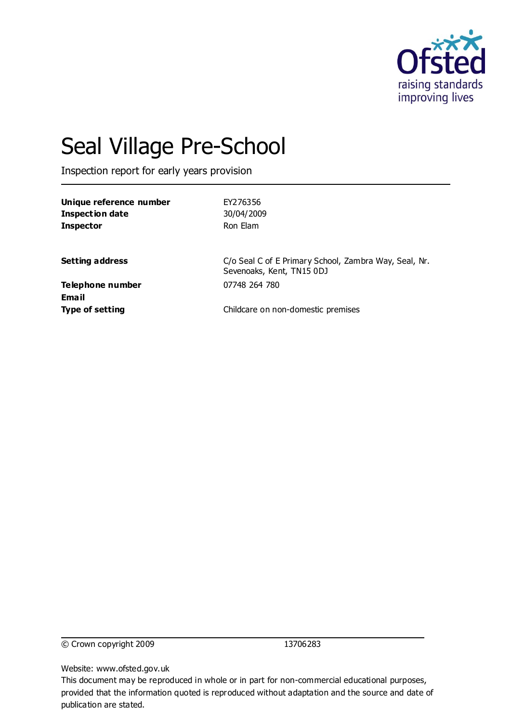

# Seal Village Pre-School

Inspection report for early years provision

| Unique reference number<br><b>Inspection date</b><br><b>Inspector</b> | EY276356<br>30/04/2009<br>Ron Elam                                                 |
|-----------------------------------------------------------------------|------------------------------------------------------------------------------------|
| <b>Setting address</b>                                                | C/o Seal C of E Primary School, Zambra Way, Seal, Nr.<br>Sevenoaks, Kent, TN15 0DJ |
| Telephone number<br>Email<br><b>Type of setting</b>                   | 07748 264 780<br>Childcare on non-domestic premises                                |
|                                                                       |                                                                                    |

© Crown copyright 2009 13706283

Website: www.ofsted.gov.uk

This document may be reproduced in whole or in part for non-commercial educational purposes, provided that the information quoted is reproduced without adaptation and the source and date of publication are stated.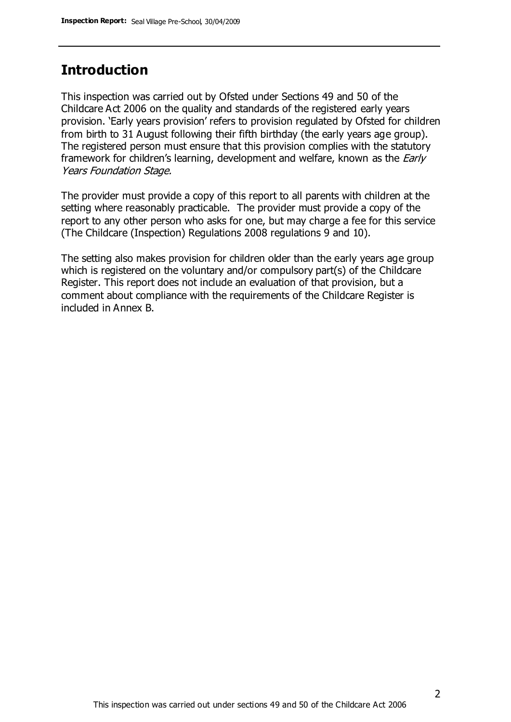## **Introduction**

This inspection was carried out by Ofsted under Sections 49 and 50 of the Childcare Act 2006 on the quality and standards of the registered early years provision. 'Early years provision' refers to provision regulated by Ofsted for children from birth to 31 August following their fifth birthday (the early years age group). The registered person must ensure that this provision complies with the statutory framework for children's learning, development and welfare, known as the *Early* Years Foundation Stage.

The provider must provide a copy of this report to all parents with children at the setting where reasonably practicable. The provider must provide a copy of the report to any other person who asks for one, but may charge a fee for this service (The Childcare (Inspection) Regulations 2008 regulations 9 and 10).

The setting also makes provision for children older than the early years age group which is registered on the voluntary and/or compulsory part(s) of the Childcare Register. This report does not include an evaluation of that provision, but a comment about compliance with the requirements of the Childcare Register is included in Annex B.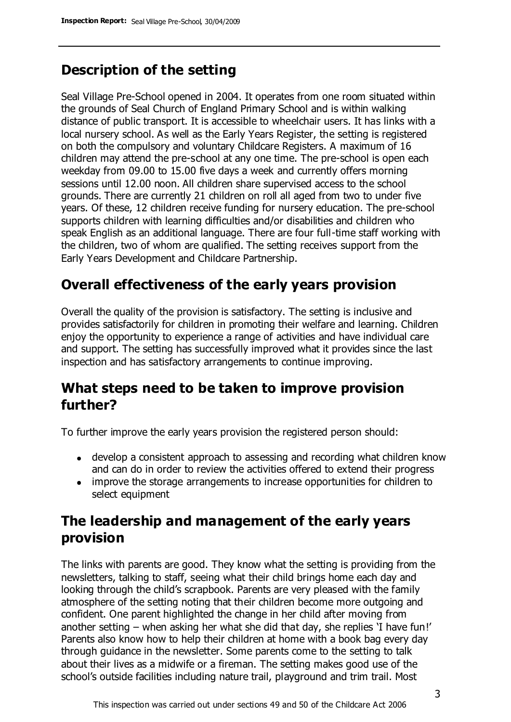# **Description of the setting**

Seal Village Pre-School opened in 2004. It operates from one room situated within the grounds of Seal Church of England Primary School and is within walking distance of public transport. It is accessible to wheelchair users. It has links with a local nursery school. As well as the Early Years Register, the setting is registered on both the compulsory and voluntary Childcare Registers. A maximum of 16 children may attend the pre-school at any one time. The pre-school is open each weekday from 09.00 to 15.00 five days a week and currently offers morning sessions until 12.00 noon. All children share supervised access to the school grounds. There are currently 21 children on roll all aged from two to under five years. Of these, 12 children receive funding for nursery education. The pre-school supports children with learning difficulties and/or disabilities and children who speak English as an additional language. There are four full-time staff working with the children, two of whom are qualified. The setting receives support from the Early Years Development and Childcare Partnership.

# **Overall effectiveness of the early years provision**

Overall the quality of the provision is satisfactory. The setting is inclusive and provides satisfactorily for children in promoting their welfare and learning. Children enjoy the opportunity to experience a range of activities and have individual care and support. The setting has successfully improved what it provides since the last inspection and has satisfactory arrangements to continue improving.

## **What steps need to be taken to improve provision further?**

To further improve the early years provision the registered person should:

- develop a consistent approach to assessing and recording what children know and can do in order to review the activities offered to extend their progress
- improve the storage arrangements to increase opportunities for children to select equipment

# **The leadership and management of the early years provision**

The links with parents are good. They know what the setting is providing from the newsletters, talking to staff, seeing what their child brings home each day and looking through the child's scrapbook. Parents are very pleased with the family atmosphere of the setting noting that their children become more outgoing and confident. One parent highlighted the change in her child after moving from another setting – when asking her what she did that day, she replies 'I have fun!' Parents also know how to help their children at home with a book bag every day through guidance in the newsletter. Some parents come to the setting to talk about their lives as a midwife or a fireman. The setting makes good use of the school's outside facilities including nature trail, playground and trim trail. Most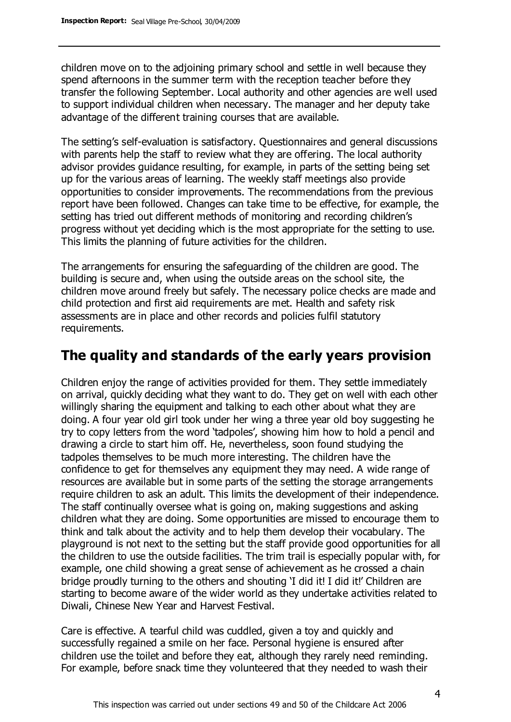children move on to the adjoining primary school and settle in well because they spend afternoons in the summer term with the reception teacher before they transfer the following September. Local authority and other agencies are well used to support individual children when necessary. The manager and her deputy take advantage of the different training courses that are available.

The setting's self-evaluation is satisfactory. Questionnaires and general discussions with parents help the staff to review what they are offering. The local authority advisor provides guidance resulting, for example, in parts of the setting being set up for the various areas of learning. The weekly staff meetings also provide opportunities to consider improvements. The recommendations from the previous report have been followed. Changes can take time to be effective, for example, the setting has tried out different methods of monitoring and recording children's progress without yet deciding which is the most appropriate for the setting to use. This limits the planning of future activities for the children.

The arrangements for ensuring the safeguarding of the children are good. The building is secure and, when using the outside areas on the school site, the children move around freely but safely. The necessary police checks are made and child protection and first aid requirements are met. Health and safety risk assessments are in place and other records and policies fulfil statutory requirements.

## **The quality and standards of the early years provision**

Children enjoy the range of activities provided for them. They settle immediately on arrival, quickly deciding what they want to do. They get on well with each other willingly sharing the equipment and talking to each other about what they are doing. A four year old girl took under her wing a three year old boy suggesting he try to copy letters from the word 'tadpoles', showing him how to hold a pencil and drawing a circle to start him off. He, nevertheless, soon found studying the tadpoles themselves to be much more interesting. The children have the confidence to get for themselves any equipment they may need. A wide range of resources are available but in some parts of the setting the storage arrangements require children to ask an adult. This limits the development of their independence. The staff continually oversee what is going on, making suggestions and asking children what they are doing. Some opportunities are missed to encourage them to think and talk about the activity and to help them develop their vocabulary. The playground is not next to the setting but the staff provide good opportunities for all the children to use the outside facilities. The trim trail is especially popular with, for example, one child showing a great sense of achievement as he crossed a chain bridge proudly turning to the others and shouting 'I did it! I did it!' Children are starting to become aware of the wider world as they undertake activities related to Diwali, Chinese New Year and Harvest Festival.

Care is effective. A tearful child was cuddled, given a toy and quickly and successfully regained a smile on her face. Personal hygiene is ensured after children use the toilet and before they eat, although they rarely need reminding. For example, before snack time they volunteered that they needed to wash their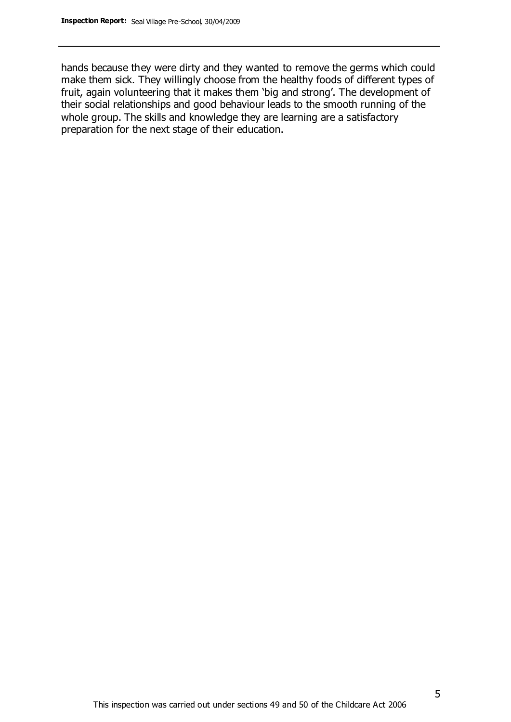hands because they were dirty and they wanted to remove the germs which could make them sick. They willingly choose from the healthy foods of different types of fruit, again volunteering that it makes them 'big and strong'. The development of their social relationships and good behaviour leads to the smooth running of the whole group. The skills and knowledge they are learning are a satisfactory preparation for the next stage of their education.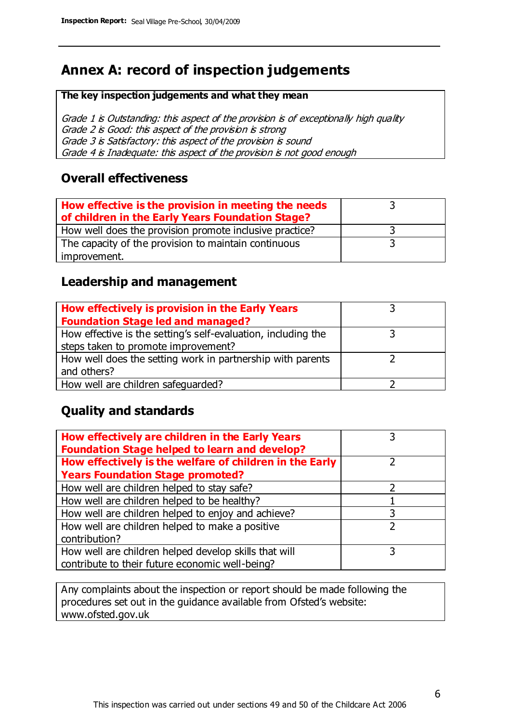# **Annex A: record of inspection judgements**

#### **The key inspection judgements and what they mean**

Grade 1 is Outstanding: this aspect of the provision is of exceptionally high quality Grade 2 is Good: this aspect of the provision is strong Grade 3 is Satisfactory: this aspect of the provision is sound Grade 4 is Inadequate: this aspect of the provision is not good enough

#### **Overall effectiveness**

| How effective is the provision in meeting the needs<br>of children in the Early Years Foundation Stage? |  |
|---------------------------------------------------------------------------------------------------------|--|
| How well does the provision promote inclusive practice?                                                 |  |
| The capacity of the provision to maintain continuous                                                    |  |
| improvement.                                                                                            |  |

#### **Leadership and management**

| How effectively is provision in the Early Years               |  |
|---------------------------------------------------------------|--|
| <b>Foundation Stage led and managed?</b>                      |  |
| How effective is the setting's self-evaluation, including the |  |
| steps taken to promote improvement?                           |  |
| How well does the setting work in partnership with parents    |  |
| and others?                                                   |  |
| How well are children safequarded?                            |  |

## **Quality and standards**

| How effectively are children in the Early Years<br><b>Foundation Stage helped to learn and develop?</b> |               |
|---------------------------------------------------------------------------------------------------------|---------------|
| How effectively is the welfare of children in the Early                                                 |               |
| <b>Years Foundation Stage promoted?</b>                                                                 |               |
| How well are children helped to stay safe?                                                              |               |
| How well are children helped to be healthy?                                                             |               |
| How well are children helped to enjoy and achieve?                                                      | 3             |
| How well are children helped to make a positive                                                         | $\mathcal{D}$ |
| contribution?                                                                                           |               |
| How well are children helped develop skills that will                                                   |               |
| contribute to their future economic well-being?                                                         |               |

Any complaints about the inspection or report should be made following the procedures set out in the guidance available from Ofsted's website: www.ofsted.gov.uk